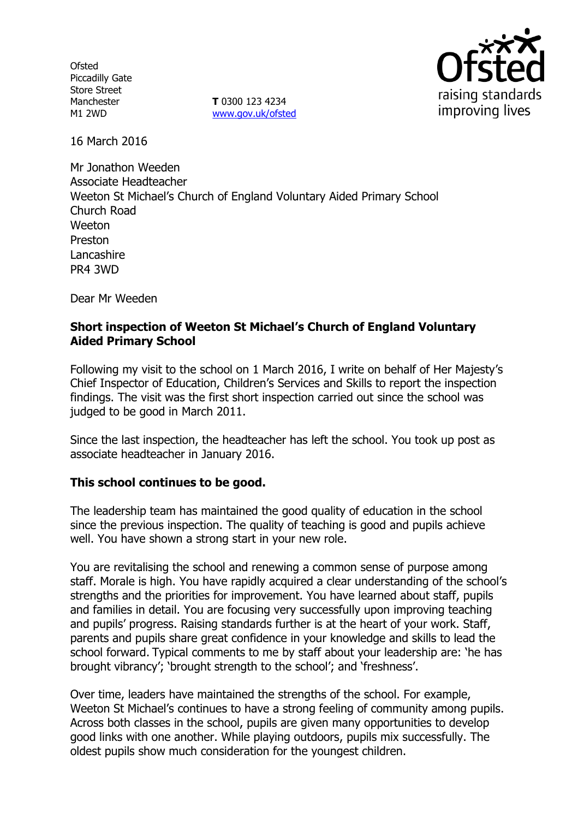**Ofsted** Piccadilly Gate Store Street Manchester M1 2WD

**T** 0300 123 4234 www.gov.uk/ofsted



16 March 2016

Mr Jonathon Weeden Associate Headteacher Weeton St Michael's Church of England Voluntary Aided Primary School Church Road Weeton Preston Lancashire PR4 3WD

Dear Mr Weeden

## **Short inspection of Weeton St Michael's Church of England Voluntary Aided Primary School**

Following my visit to the school on 1 March 2016, I write on behalf of Her Majesty's Chief Inspector of Education, Children's Services and Skills to report the inspection findings. The visit was the first short inspection carried out since the school was judged to be good in March 2011.

Since the last inspection, the headteacher has left the school. You took up post as associate headteacher in January 2016.

#### **This school continues to be good.**

The leadership team has maintained the good quality of education in the school since the previous inspection. The quality of teaching is good and pupils achieve well. You have shown a strong start in your new role.

You are revitalising the school and renewing a common sense of purpose among staff. Morale is high. You have rapidly acquired a clear understanding of the school's strengths and the priorities for improvement. You have learned about staff, pupils and families in detail. You are focusing very successfully upon improving teaching and pupils' progress. Raising standards further is at the heart of your work. Staff, parents and pupils share great confidence in your knowledge and skills to lead the school forward. Typical comments to me by staff about your leadership are: 'he has brought vibrancy'; 'brought strength to the school'; and 'freshness'.

Over time, leaders have maintained the strengths of the school. For example, Weeton St Michael's continues to have a strong feeling of community among pupils. Across both classes in the school, pupils are given many opportunities to develop good links with one another. While playing outdoors, pupils mix successfully. The oldest pupils show much consideration for the youngest children.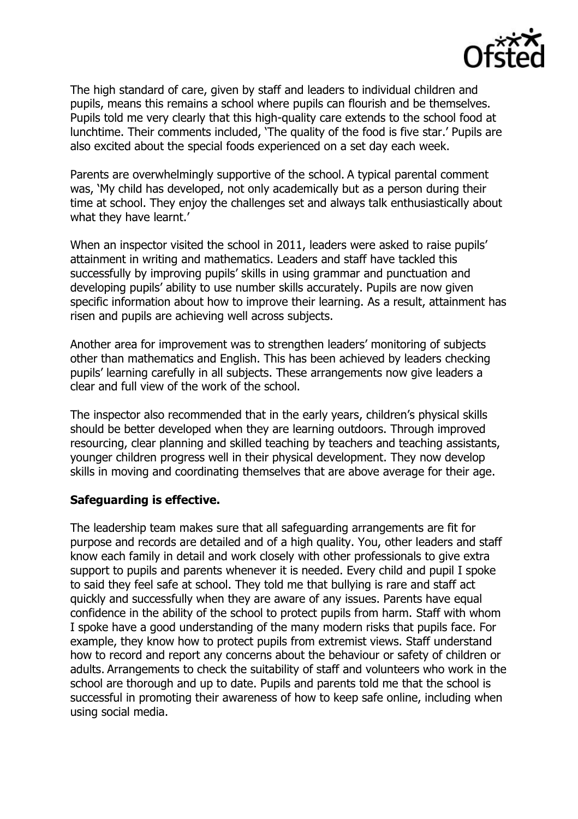

The high standard of care, given by staff and leaders to individual children and pupils, means this remains a school where pupils can flourish and be themselves. Pupils told me very clearly that this high-quality care extends to the school food at lunchtime. Their comments included, 'The quality of the food is five star.' Pupils are also excited about the special foods experienced on a set day each week.

Parents are overwhelmingly supportive of the school. A typical parental comment was, 'My child has developed, not only academically but as a person during their time at school. They enjoy the challenges set and always talk enthusiastically about what they have learnt.'

When an inspector visited the school in 2011, leaders were asked to raise pupils' attainment in writing and mathematics. Leaders and staff have tackled this successfully by improving pupils' skills in using grammar and punctuation and developing pupils' ability to use number skills accurately. Pupils are now given specific information about how to improve their learning. As a result, attainment has risen and pupils are achieving well across subjects.

Another area for improvement was to strengthen leaders' monitoring of subjects other than mathematics and English. This has been achieved by leaders checking pupils' learning carefully in all subjects. These arrangements now give leaders a clear and full view of the work of the school.

The inspector also recommended that in the early years, children's physical skills should be better developed when they are learning outdoors. Through improved resourcing, clear planning and skilled teaching by teachers and teaching assistants, younger children progress well in their physical development. They now develop skills in moving and coordinating themselves that are above average for their age.

#### **Safeguarding is effective.**

The leadership team makes sure that all safeguarding arrangements are fit for purpose and records are detailed and of a high quality. You, other leaders and staff know each family in detail and work closely with other professionals to give extra support to pupils and parents whenever it is needed. Every child and pupil I spoke to said they feel safe at school. They told me that bullying is rare and staff act quickly and successfully when they are aware of any issues. Parents have equal confidence in the ability of the school to protect pupils from harm. Staff with whom I spoke have a good understanding of the many modern risks that pupils face. For example, they know how to protect pupils from extremist views. Staff understand how to record and report any concerns about the behaviour or safety of children or adults. Arrangements to check the suitability of staff and volunteers who work in the school are thorough and up to date. Pupils and parents told me that the school is successful in promoting their awareness of how to keep safe online, including when using social media.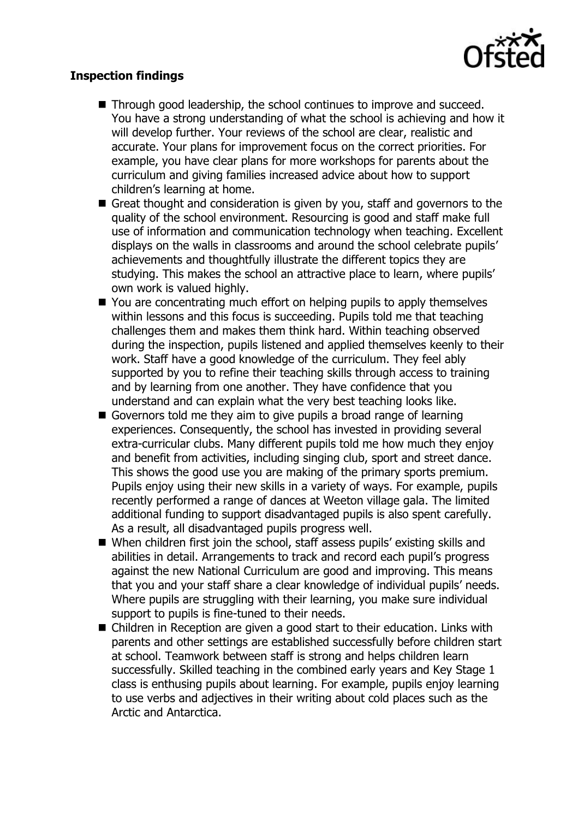

### **Inspection findings**

- Through good leadership, the school continues to improve and succeed. You have a strong understanding of what the school is achieving and how it will develop further. Your reviews of the school are clear, realistic and accurate. Your plans for improvement focus on the correct priorities. For example, you have clear plans for more workshops for parents about the curriculum and giving families increased advice about how to support children's learning at home.
- Great thought and consideration is given by you, staff and governors to the quality of the school environment. Resourcing is good and staff make full use of information and communication technology when teaching. Excellent displays on the walls in classrooms and around the school celebrate pupils' achievements and thoughtfully illustrate the different topics they are studying. This makes the school an attractive place to learn, where pupils' own work is valued highly.
- You are concentrating much effort on helping pupils to apply themselves within lessons and this focus is succeeding. Pupils told me that teaching challenges them and makes them think hard. Within teaching observed during the inspection, pupils listened and applied themselves keenly to their work. Staff have a good knowledge of the curriculum. They feel ably supported by you to refine their teaching skills through access to training and by learning from one another. They have confidence that you understand and can explain what the very best teaching looks like.
- Governors told me they aim to give pupils a broad range of learning experiences. Consequently, the school has invested in providing several extra-curricular clubs. Many different pupils told me how much they enjoy and benefit from activities, including singing club, sport and street dance. This shows the good use you are making of the primary sports premium. Pupils enjoy using their new skills in a variety of ways. For example, pupils recently performed a range of dances at Weeton village gala. The limited additional funding to support disadvantaged pupils is also spent carefully. As a result, all disadvantaged pupils progress well.
- When children first join the school, staff assess pupils' existing skills and abilities in detail. Arrangements to track and record each pupil's progress against the new National Curriculum are good and improving. This means that you and your staff share a clear knowledge of individual pupils' needs. Where pupils are struggling with their learning, you make sure individual support to pupils is fine-tuned to their needs.
- Children in Reception are given a good start to their education. Links with parents and other settings are established successfully before children start at school. Teamwork between staff is strong and helps children learn successfully. Skilled teaching in the combined early years and Key Stage 1 class is enthusing pupils about learning. For example, pupils enjoy learning to use verbs and adjectives in their writing about cold places such as the Arctic and Antarctica.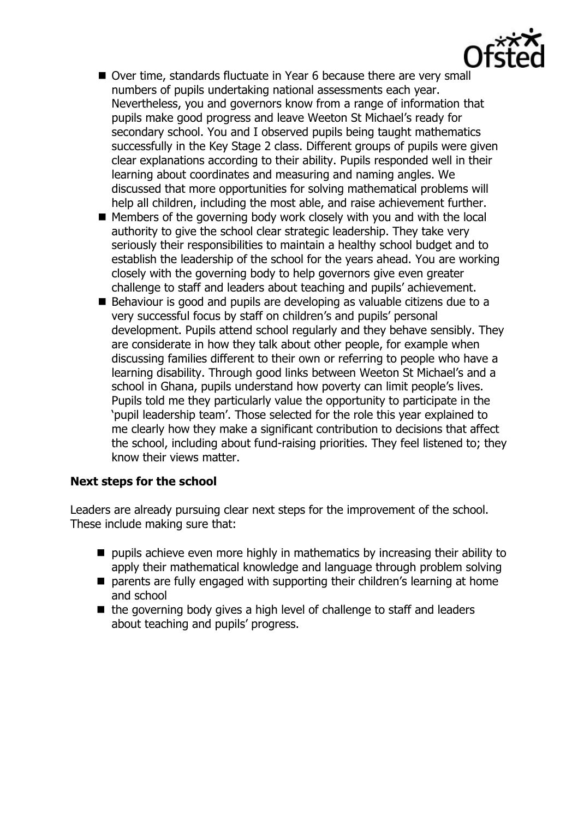- Over time, standards fluctuate in Year 6 because there are very small numbers of pupils undertaking national assessments each year. Nevertheless, you and governors know from a range of information that pupils make good progress and leave Weeton St Michael's ready for secondary school. You and I observed pupils being taught mathematics successfully in the Key Stage 2 class. Different groups of pupils were given clear explanations according to their ability. Pupils responded well in their learning about coordinates and measuring and naming angles. We discussed that more opportunities for solving mathematical problems will help all children, including the most able, and raise achievement further.
- $\blacksquare$  Members of the governing body work closely with you and with the local authority to give the school clear strategic leadership. They take very seriously their responsibilities to maintain a healthy school budget and to establish the leadership of the school for the years ahead. You are working closely with the governing body to help governors give even greater challenge to staff and leaders about teaching and pupils' achievement.
- Behaviour is good and pupils are developing as valuable citizens due to a very successful focus by staff on children's and pupils' personal development. Pupils attend school regularly and they behave sensibly. They are considerate in how they talk about other people, for example when discussing families different to their own or referring to people who have a learning disability. Through good links between Weeton St Michael's and a school in Ghana, pupils understand how poverty can limit people's lives. Pupils told me they particularly value the opportunity to participate in the 'pupil leadership team'. Those selected for the role this year explained to me clearly how they make a significant contribution to decisions that affect the school, including about fund-raising priorities. They feel listened to; they know their views matter.

# **Next steps for the school**

Leaders are already pursuing clear next steps for the improvement of the school. These include making sure that:

- $\blacksquare$  pupils achieve even more highly in mathematics by increasing their ability to apply their mathematical knowledge and language through problem solving
- **E** parents are fully engaged with supporting their children's learning at home and school
- $\blacksquare$  the governing body gives a high level of challenge to staff and leaders about teaching and pupils' progress.